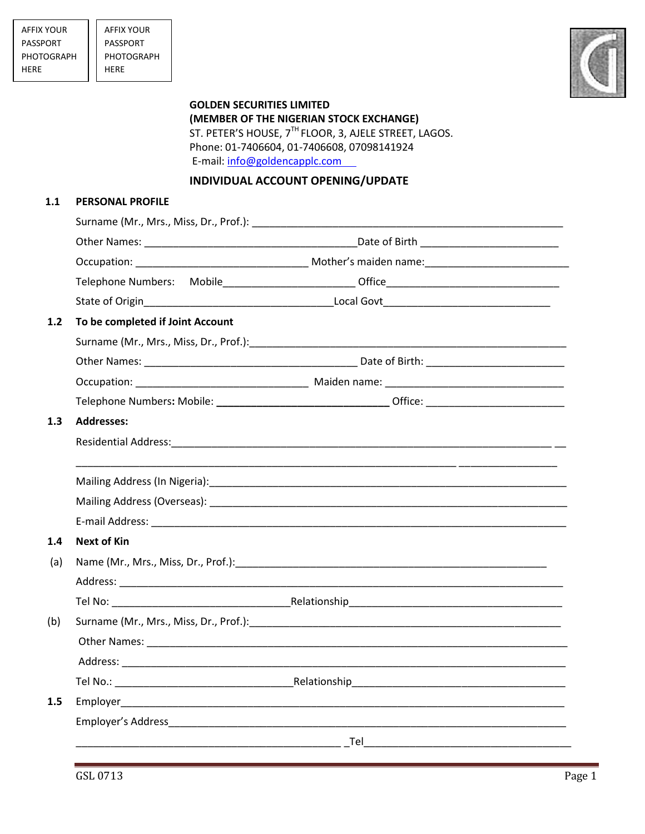

## **GOLDEN SECURITIES LIMITED (MEMBER OF THE NIGERIAN STOCK EXCHANGE)**  ST. PETER'S HOUSE, 7<sup>TH</sup> FLOOR, 3, AJELE STREET, LAGOS. Phone: 01-7406604, 01-7406608, 07098141924 E-mail: [info@goldencapplc.com](mailto:info@goldencapitalplc.com)

## **INDIVIDUAL ACCOUNT OPENING/UPDATE**

## **1.1 PERSONAL PROFILE**

| To be completed if Joint Account |  |  |  |  |  |
|----------------------------------|--|--|--|--|--|
|                                  |  |  |  |  |  |
|                                  |  |  |  |  |  |
|                                  |  |  |  |  |  |
|                                  |  |  |  |  |  |
| <b>Addresses:</b>                |  |  |  |  |  |
|                                  |  |  |  |  |  |
|                                  |  |  |  |  |  |
|                                  |  |  |  |  |  |
|                                  |  |  |  |  |  |
| <b>Next of Kin</b>               |  |  |  |  |  |
|                                  |  |  |  |  |  |
|                                  |  |  |  |  |  |
|                                  |  |  |  |  |  |
|                                  |  |  |  |  |  |
|                                  |  |  |  |  |  |
|                                  |  |  |  |  |  |
|                                  |  |  |  |  |  |
|                                  |  |  |  |  |  |
|                                  |  |  |  |  |  |
|                                  |  |  |  |  |  |
|                                  |  |  |  |  |  |